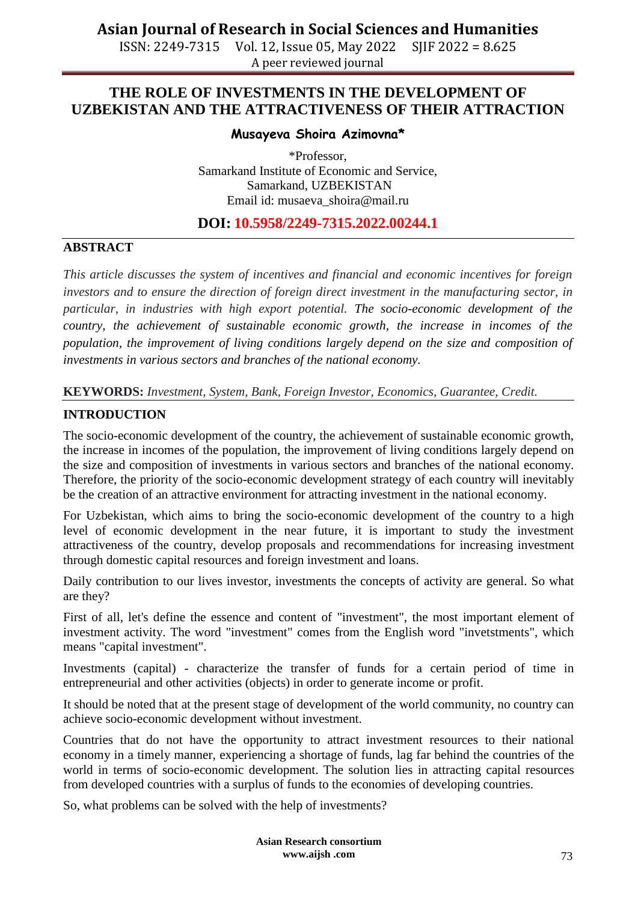ISSN: 2249-7315 Vol. 12, Issue 05, May 2022 SJIF 2022 = 8.625 A peer reviewed journal

## **THE ROLE OF INVESTMENTS IN THE DEVELOPMENT OF UZBEKISTAN AND THE ATTRACTIVENESS OF THEIR ATTRACTION**

#### **Musayeva Shoira Azimovna\***

\*Professor, Samarkand Institute of Economic and Service, Samarkand, UZBEKISTAN Email id: [musaeva\\_shoira@mail.ru](mailto:musaeva_shoira@mail.ru)

### **DOI: 10.5958/2249-7315.2022.00244.1**

### **ABSTRACT**

*This article discusses the system of incentives and financial and economic incentives for foreign investors and to ensure the direction of foreign direct investment in the manufacturing sector, in particular, in industries with high export potential. The socio-economic development of the country, the achievement of sustainable economic growth, the increase in incomes of the population, the improvement of living conditions largely depend on the size and composition of investments in various sectors and branches of the national economy.*

**KEYWORDS:** *Investment, System, Bank, Foreign Investor, Economics, Guarantee, Credit.*

#### **INTRODUCTION**

The socio-economic development of the country, the achievement of sustainable economic growth, the increase in incomes of the population, the improvement of living conditions largely depend on the size and composition of investments in various sectors and branches of the national economy. Therefore, the priority of the socio-economic development strategy of each country will inevitably be the creation of an attractive environment for attracting investment in the national economy.

For Uzbekistan, which aims to bring the socio-economic development of the country to a high level of economic development in the near future, it is important to study the investment attractiveness of the country, develop proposals and recommendations for increasing investment through domestic capital resources and foreign investment and loans.

Daily contribution to our lives investor, investments the concepts of activity are general. So what are they?

First of all, let's define the essence and content of "investment", the most important element of investment activity. The word "investment" comes from the English word "invetstments", which means "capital investment".

Investments (capital) - characterize the transfer of funds for a certain period of time in entrepreneurial and other activities (objects) in order to generate income or profit.

It should be noted that at the present stage of development of the world community, no country can achieve socio-economic development without investment.

Countries that do not have the opportunity to attract investment resources to their national economy in a timely manner, experiencing a shortage of funds, lag far behind the countries of the world in terms of socio-economic development. The solution lies in attracting capital resources from developed countries with a surplus of funds to the economies of developing countries.

So, what problems can be solved with the help of investments?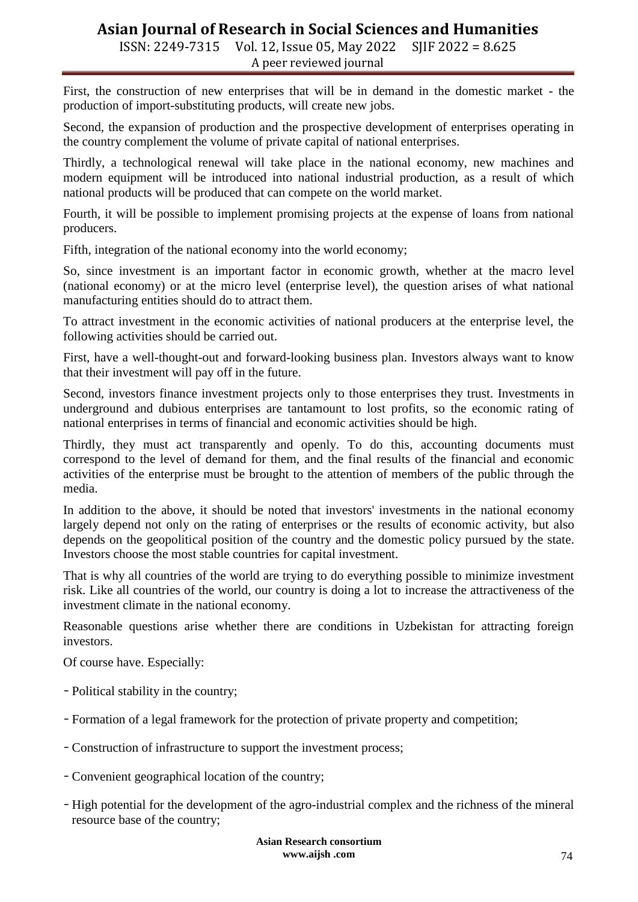ISSN: 2249-7315 Vol. 12, Issue 05, May 2022 SJIF 2022 = 8.625 A peer reviewed journal

First, the construction of new enterprises that will be in demand in the domestic market - the production of import-substituting products, will create new jobs.

Second, the expansion of production and the prospective development of enterprises operating in the country complement the volume of private capital of national enterprises.

Thirdly, a technological renewal will take place in the national economy, new machines and modern equipment will be introduced into national industrial production, as a result of which national products will be produced that can compete on the world market.

Fourth, it will be possible to implement promising projects at the expense of loans from national producers.

Fifth, integration of the national economy into the world economy;

So, since investment is an important factor in economic growth, whether at the macro level (national economy) or at the micro level (enterprise level), the question arises of what national manufacturing entities should do to attract them.

To attract investment in the economic activities of national producers at the enterprise level, the following activities should be carried out.

First, have a well-thought-out and forward-looking business plan. Investors always want to know that their investment will pay off in the future.

Second, investors finance investment projects only to those enterprises they trust. Investments in underground and dubious enterprises are tantamount to lost profits, so the economic rating of national enterprises in terms of financial and economic activities should be high.

Thirdly, they must act transparently and openly. To do this, accounting documents must correspond to the level of demand for them, and the final results of the financial and economic activities of the enterprise must be brought to the attention of members of the public through the media.

In addition to the above, it should be noted that investors' investments in the national economy largely depend not only on the rating of enterprises or the results of economic activity, but also depends on the geopolitical position of the country and the domestic policy pursued by the state. Investors choose the most stable countries for capital investment.

That is why all countries of the world are trying to do everything possible to minimize investment risk. Like all countries of the world, our country is doing a lot to increase the attractiveness of the investment climate in the national economy.

Reasonable questions arise whether there are conditions in Uzbekistan for attracting foreign investors.

Of course have. Especially:

- Political stability in the country;
- Formation of a legal framework for the protection of private property and competition;
- Construction of infrastructure to support the investment process;
- Convenient geographical location of the country;
- High potential for the development of the agro-industrial complex and the richness of the mineral resource base of the country;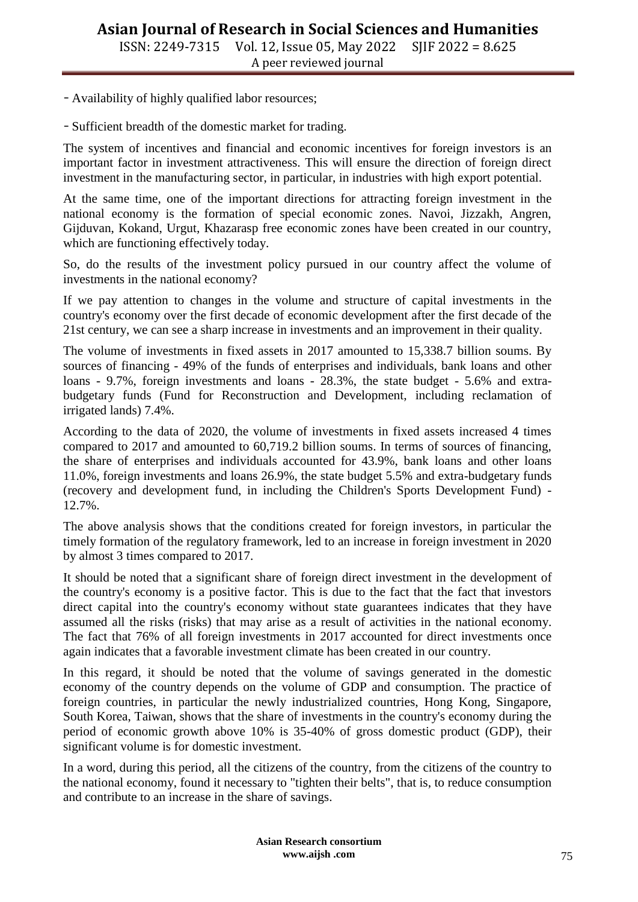- Availability of highly qualified labor resources;

- Sufficient breadth of the domestic market for trading.

The system of incentives and financial and economic incentives for foreign investors is an important factor in investment attractiveness. This will ensure the direction of foreign direct investment in the manufacturing sector, in particular, in industries with high export potential.

At the same time, one of the important directions for attracting foreign investment in the national economy is the formation of special economic zones. Navoi, Jizzakh, Angren, Gijduvan, Kokand, Urgut, Khazarasp free economic zones have been created in our country, which are functioning effectively today.

So, do the results of the investment policy pursued in our country affect the volume of investments in the national economy?

If we pay attention to changes in the volume and structure of capital investments in the country's economy over the first decade of economic development after the first decade of the 21st century, we can see a sharp increase in investments and an improvement in their quality.

The volume of investments in fixed assets in 2017 amounted to 15,338.7 billion soums. By sources of financing - 49% of the funds of enterprises and individuals, bank loans and other loans - 9.7%, foreign investments and loans - 28.3%, the state budget - 5.6% and extrabudgetary funds (Fund for Reconstruction and Development, including reclamation of irrigated lands) 7.4%.

According to the data of 2020, the volume of investments in fixed assets increased 4 times compared to 2017 and amounted to 60,719.2 billion soums. In terms of sources of financing, the share of enterprises and individuals accounted for 43.9%, bank loans and other loans 11.0%, foreign investments and loans 26.9%, the state budget 5.5% and extra-budgetary funds (recovery and development fund, in including the Children's Sports Development Fund) - 12.7%.

The above analysis shows that the conditions created for foreign investors, in particular the timely formation of the regulatory framework, led to an increase in foreign investment in 2020 by almost 3 times compared to 2017.

It should be noted that a significant share of foreign direct investment in the development of the country's economy is a positive factor. This is due to the fact that the fact that investors direct capital into the country's economy without state guarantees indicates that they have assumed all the risks (risks) that may arise as a result of activities in the national economy. The fact that 76% of all foreign investments in 2017 accounted for direct investments once again indicates that a favorable investment climate has been created in our country.

In this regard, it should be noted that the volume of savings generated in the domestic economy of the country depends on the volume of GDP and consumption. The practice of foreign countries, in particular the newly industrialized countries, Hong Kong, Singapore, South Korea, Taiwan, shows that the share of investments in the country's economy during the period of economic growth above 10% is 35-40% of gross domestic product (GDP), their significant volume is for domestic investment.

In a word, during this period, all the citizens of the country, from the citizens of the country to the national economy, found it necessary to "tighten their belts", that is, to reduce consumption and contribute to an increase in the share of savings.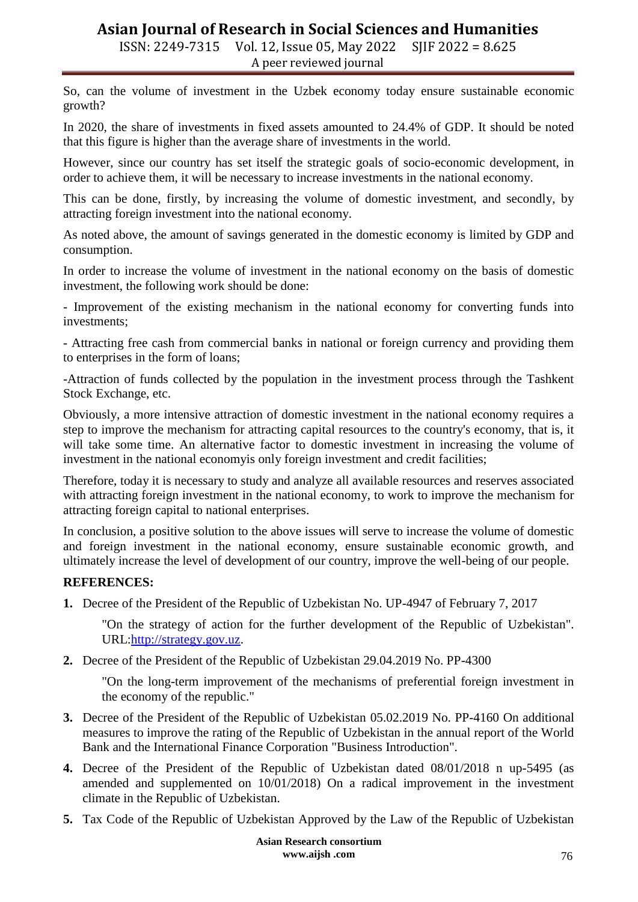ISSN: 2249-7315 Vol. 12, Issue 05, May 2022 SJIF 2022 = 8.625 A peer reviewed journal

So, can the volume of investment in the Uzbek economy today ensure sustainable economic growth?

In 2020, the share of investments in fixed assets amounted to 24.4% of GDP. It should be noted that this figure is higher than the average share of investments in the world.

However, since our country has set itself the strategic goals of socio-economic development, in order to achieve them, it will be necessary to increase investments in the national economy.

This can be done, firstly, by increasing the volume of domestic investment, and secondly, by attracting foreign investment into the national economy.

As noted above, the amount of savings generated in the domestic economy is limited by GDP and consumption.

In order to increase the volume of investment in the national economy on the basis of domestic investment, the following work should be done:

- Improvement of the existing mechanism in the national economy for converting funds into investments;

- Attracting free cash from commercial banks in national or foreign currency and providing them to enterprises in the form of loans;

-Attraction of funds collected by the population in the investment process through the Tashkent Stock Exchange, etc.

Obviously, a more intensive attraction of domestic investment in the national economy requires a step to improve the mechanism for attracting capital resources to the country's economy, that is, it will take some time. An alternative factor to domestic investment in increasing the volume of investment in the national economyis only foreign investment and credit facilities;

Therefore, today it is necessary to study and analyze all available resources and reserves associated with attracting foreign investment in the national economy, to work to improve the mechanism for attracting foreign capital to national enterprises.

In conclusion, a positive solution to the above issues will serve to increase the volume of domestic and foreign investment in the national economy, ensure sustainable economic growth, and ultimately increase the level of development of our country, improve the well-being of our people.

#### **REFERENCES:**

**1.** Decree of the President of the Republic of Uzbekistan No. UP-4947 of February 7, 2017

"On the strategy of action for the further development of the Republic of Uzbekistan". URL[:http://strategy.gov.uz.](http://strategy.gov.uz/)

**2.** Decree of the President of the Republic of Uzbekistan 29.04.2019 No. PP-4300

"On the long-term improvement of the mechanisms of preferential foreign investment in the economy of the republic."

- **3.** Decree of the President of the Republic of Uzbekistan 05.02.2019 No. PP-4160 On additional measures to improve the rating of the Republic of Uzbekistan in the annual report of the World Bank and the International Finance Corporation "Business Introduction".
- **4.** Decree of the President of the Republic of Uzbekistan dated 08/01/2018 n up-5495 (as amended and supplemented on 10/01/2018) On a radical improvement in the investment climate in the Republic of Uzbekistan.
- **5.** Tax Code of the Republic of Uzbekistan Approved by the Law of the Republic of Uzbekistan